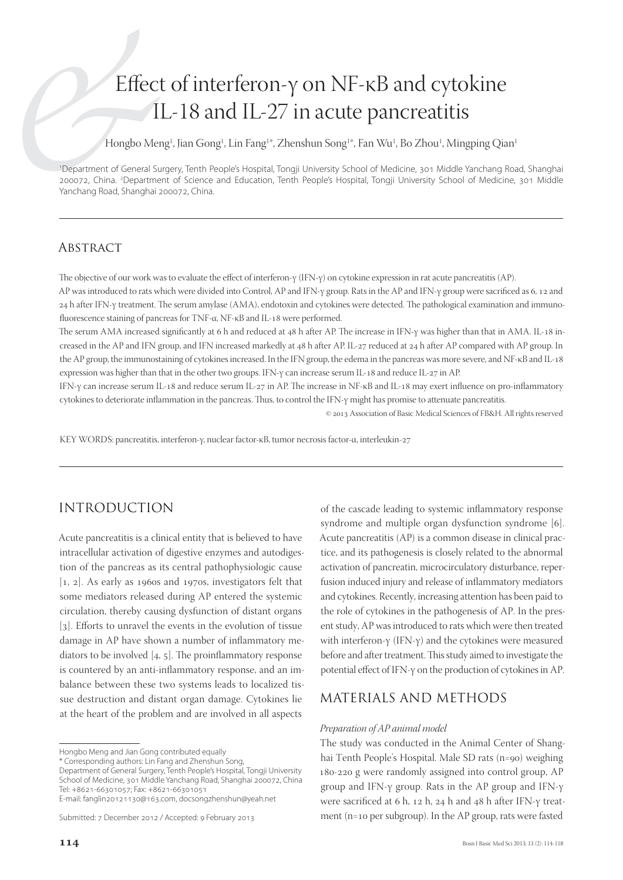# Effect of interferon-γ on NF-κB and cytokine IL-18 and IL-27 in acute pancreatitis

Hongbo Meng<sup>1</sup>, Jian Gong<sup>1</sup>, Lin Fang<sup>1\*</sup>, Zhenshun Song<sup>1\*</sup>, Fan Wu<sup>1</sup>, Bo Zhou<sup>1</sup>, Mingping Qian<sup>1</sup>

1 Department of General Surgery, Tenth People's Hospital, Tongji University School of Medicine, 301 Middle Yanchang Road, Shanghai 200072, China. 2 Department of Science and Education, Tenth People's Hospital, Tongji University School of Medicine, 301 Middle Yanchang Road, Shanghai 200072, China.

## **ABSTRACT**

The objective of our work was to evaluate the effect of interferon- $\gamma$  (IFN- $\gamma$ ) on cytokine expression in rat acute pancreatitis (AP).

AP was introduced to rats which were divided into Control, AP and IFN-γ group. Rats in the AP and IFN-γ group were sacrificed as 6, 12 and 24 h after IFN-γ treatment. The serum amylase (AMA), endotoxin and cytokines were detected. The pathological examination and immunofluorescence staining of pancreas for TNF-α, NF-κB and IL-18 were performed.

The serum AMA increased significantly at 6 h and reduced at 48 h after AP. The increase in IFN-γ was higher than that in AMA. IL-18 increased in the AP and IFN group, and IFN increased markedly at 48 h after AP. IL-27 reduced at 24 h after AP compared with AP group. In the AP group, the immunostaining of cytokines increased. In the IFN group, the edema in the pancreas was more severe, and NF-κB and IL expression was higher than that in the other two groups. IFN-γ can increase serum IL-18 and reduce IL-27 in AP.

IFN-γ can increase serum IL-18 and reduce serum IL-27 in AP. The increase in NF-κB and IL-18 may exert influence on pro-inflammatory cytokines to deteriorate inflammation in the pancreas. Thus, to control the IFN-γ might has promise to attenuate pancreatitis.

© 2013 Association of Basic Medical Sciences of FB&H. All rights reserved

KEY WORDS: pancreatitis, interferon-γ, nuclear factor-κB, tumor necrosis factor-α, interleukin-27

# INTRODUCTION

Acute pancreatitis is a clinical entity that is believed to have intracellular activation of digestive enzymes and autodigestion of the pancreas as its central pathophysiologic cause  $[1, 2]$ . As early as 1960s and 1970s, investigators felt that some mediators released during AP entered the systemic circulation, thereby causing dysfunction of distant organs [3]. Efforts to unravel the events in the evolution of tissue damage in AP have shown a number of inflammatory mediators to be involved  $[4, 5]$ . The proinflammatory response is countered by an anti-inflammatory response, and an imbalance between these two systems leads to localized tissue destruction and distant organ damage. Cytokines lie at the heart of the problem and are involved in all aspects

\* Corresponding authors: Lin Fang and Zhenshun Song,

Department of General Surgery, Tenth People's Hospital, Tongji University School of Medicine, 301 Middle Yanchang Road, Shanghai 200072, China Tel: +8621-66301057; Fax: +8621-66301051

E-mail: fanglin20121130@163.com, docsongzhenshun@yeah.net

of the cascade leading to systemic inflammatory response syndrome and multiple organ dysfunction syndrome [6]. Acute pancreatitis (AP) is a common disease in clinical practice, and its pathogenesis is closely related to the abnormal activation of pancreatin, microcirculatory disturbance, reperfusion induced injury and release of inflammatory mediators and cytokines. Recently, increasing attention has been paid to the role of cytokines in the pathogenesis of AP. In the present study, AP was introduced to rats which were then treated with interferon-γ (IFN-γ) and the cytokines were measured before and after treatment. This study aimed to investigate the potential effect of IFN-γ on the production of cytokines in AP.

## MATERIALS AND METHODS

#### *Preparation of AP animal model*

The study was conducted in the Animal Center of Shanghai Tenth People's Hospital. Male SD rats (n=90) weighing 180-220 g were randomly assigned into control group, AP group and IFN-γ group. Rats in the AP group and IFN-γ were sacrificed at 6 h, 12 h, 24 h and 48 h after IFN-γ treatment (n=10 per subgroup). In the AP group, rats were fasted

Hongbo Meng and Jian Gong contributed equally

Submitted: 7 December 2012 / Accepted: 9 February 2013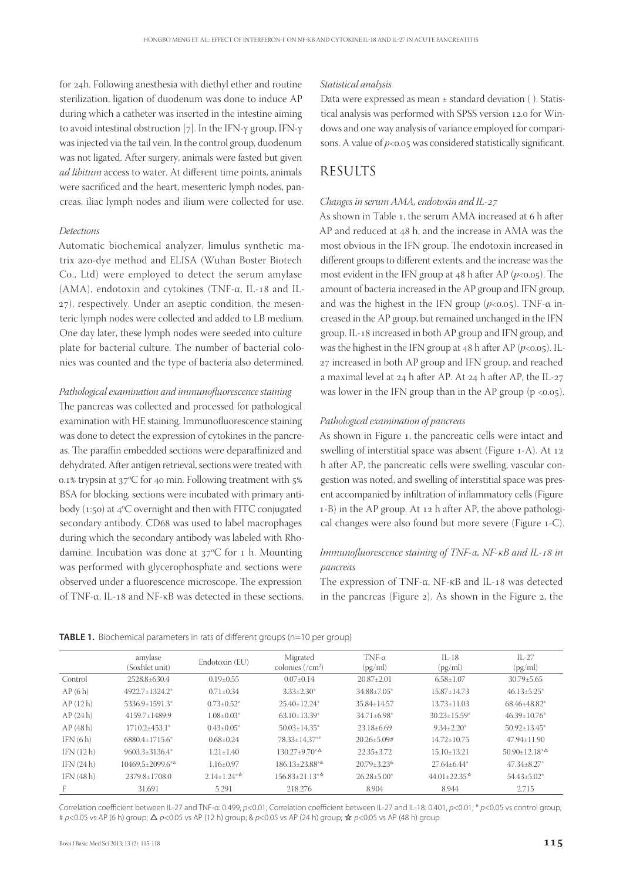for 24h. Following anesthesia with diethyl ether and routine sterilization, ligation of duodenum was done to induce AP during which a catheter was inserted in the intestine aiming to avoid intestinal obstruction [7]. In the IFN- $\gamma$  group, IFN- $\gamma$ was injected via the tail vein. In the control group, duodenum was not ligated. After surgery, animals were fasted but given ad libitum access to water. At different time points, animals were sacrificed and the heart, mesenteric lymph nodes, pancreas, iliac lymph nodes and ilium were collected for use.

#### *Detections*

Automatic biochemical analyzer, limulus synthetic matrix azo-dye method and ELISA (Wuhan Boster Biotech Co., Ltd) were employed to detect the serum amylase (AMA), endotoxin and cytokines (TNF- $\alpha$ , IL-18 and IL-), respectively. Under an aseptic condition, the mesenteric lymph nodes were collected and added to LB medium. One day later, these lymph nodes were seeded into culture plate for bacterial culture. The number of bacterial colonies was counted and the type of bacteria also determined.

#### *Pathological examination and immunofl uorescence staining*

The pancreas was collected and processed for pathological examination with HE staining. Immunofluorescence staining was done to detect the expression of cytokines in the pancreas. The paraffin embedded sections were deparaffinized and dehydrated. After antigen retrieval, sections were treated with 0.1% trypsin at  $37^{\circ}$ C for 40 min. Following treatment with  $5\%$ BSA for blocking, sections were incubated with primary antibody (1:50) at  $4^{\circ}C$  overnight and then with FITC conjugated secondary antibody. CD68 was used to label macrophages during which the secondary antibody was labeled with Rhodamine. Incubation was done at  $37^{\circ}$ C for 1 h. Mounting was performed with glycerophosphate and sections were observed under a fluorescence microscope. The expression of TNF-α, IL- and NF-κB was detected in these sections.

#### *Statistical analysis*

Data were expressed as mean ± standard deviation ( ). Statistical analysis was performed with SPSS version 12.0 for Windows and one way analysis of variance employed for comparisons. A value of  $p<sub>0.05</sub>$  was considered statistically significant.

## RESULTS

#### *Changes in serum AMA, endotoxin and IL-*

As shown in Table 1, the serum AMA increased at 6 h after AP and reduced at 48 h, and the increase in AMA was the most obvious in the IFN group. The endotoxin increased in different groups to different extents, and the increase was the most evident in the IFN group at  $48$  h after AP ( $p < 0.05$ ). The amount of bacteria increased in the AP group and IFN group, and was the highest in the IFN group ( $p<0.05$ ). TNF- $\alpha$  increased in the AP group, but remained unchanged in the IFN group. IL-18 increased in both AP group and IFN group, and was the highest in the IFN group at  $48$  h after AP ( $p < 0.05$ ). IL-27 increased in both AP group and IFN group, and reached a maximal level at  $24$  h after AP. At  $24$  h after AP, the IL- $27$ was lower in the IFN group than in the AP group  $(p \lt 0.05)$ .

#### *Pathological examination of pancreas*

As shown in Figure 1, the pancreatic cells were intact and swelling of interstitial space was absent (Figure 1-A). At 12 h after AP, the pancreatic cells were swelling, vascular congestion was noted, and swelling of interstitial space was present accompanied by infiltration of inflammatory cells (Figure 1-B) in the AP group. At 12 h after AP, the above pathological changes were also found but more severe (Figure 1-C).

### *Immunofluorescence staining of TNF-α, NF-κB and IL-18 in pancreas*

The expression of TNF- $\alpha$ , NF- $\kappa$ B and IL-18 was detected in the pancreas (Figure  $2$ ). As shown in the Figure  $2$ , the

|             | amylase<br>(Soxhlet unit)          | Endotoxin (EU)    | Migrated<br>colonies $(\sqrt{cm^2})$ | $TNF-\alpha$<br>(pg/ml)         | $IL-18$<br>(pg/ml)  | $IL-27$<br>(pg/ml)            |
|-------------|------------------------------------|-------------------|--------------------------------------|---------------------------------|---------------------|-------------------------------|
| Control     | 2528.8±630.4                       | $0.19 \pm 0.55$   | $0.07 \pm 0.14$                      | $20.87 \pm 2.01$                | $6.58 \pm 1.07$     | $30.79 \pm 5.65$              |
| AP(6h)      | 4922.7±1324.2*                     | $0.71 \pm 0.34$   | $3.33 \pm 2.30^*$                    | $34.88 \pm 7.05^*$              | $15.87 \pm 14.73$   | $46.13 \pm 5.25$ <sup>*</sup> |
| AP(12 h)    | 5336.9+1591.3*                     | $0.73 \pm 0.52$ * | $25.40+12.24*$                       | $35.84 \pm 14.57$               | $13.73 \pm 11.03$   | 68.46+48.82*                  |
| AP(24h)     | 4159.7+1489.9                      | $1.08 + 0.03*$    | $63.10\pm13.39*$                     | $34.71 \pm 6.98^*$              | $30.23 \pm 15.59^*$ | $46.39 \pm 10.76$ *           |
| AP(48h)     | $1710.2 + 453.1*$                  | $0.43 \pm 0.05^*$ | $50.03 \pm 14.35$ *                  | $23.18\pm 6.69$                 | $9.34 + 2.20^*$     | $50.92 + 13.45$ <sup>*</sup>  |
| IFN(6h)     | 6880.4+1715.6*                     | $0.68 \pm 0.24$   | 78.33+14.37**                        | $20.26 + 5.09#$                 | $14.72 + 10.75$     | $47.94 + 11.90$               |
| IFN(12h)    | $9603.3 \pm 3136.4^*$              | $1.21 + 1.40$     | $130.27+9.70^{\ast} \Delta$          | $22.35 \pm 3.72$                | $15.10 + 13.21$     | $50.90 + 12.18^{*}\Delta$     |
| IFN(24h)    | $10469.5 \pm 2099.6$ <sup>**</sup> | $1.16 \pm 0.97$   | $186.13 \pm 23.88$ **                | $20.79 + 3.23$ <sup>&amp;</sup> | $27.64 \pm 6.44^*$  | $47.34 \pm 8.27$ *            |
| IFN $(48h)$ | 2379.8+1708.0                      | $2.14 + 1.24$ **  | $156.83 + 21.13**$                   | $26.28 + 5.00*$                 | $44.01 + 22.35*$    | $54.43 + 5.02*$               |
| F           | 31.691                             | 5.291             | 218.276                              | 8.904                           | 8.944               | 2.715                         |

#### **TABLE 1.** Biochemical parameters in rats of different groups (n=10 per group)

Correlation coefficient between IL-27 and TNF-a: 0.499, p<0.01; Correlation coefficient between IL-27 and IL-18: 0.401, p<0.01; \* p<0.05 vs control group; # p<0.05 vs AP (6 h) group;  $\Delta$  p<0.05 vs AP (12 h) group; & p<0.05 vs AP (24 h) group;  $\star$  p<0.05 vs AP (48 h) group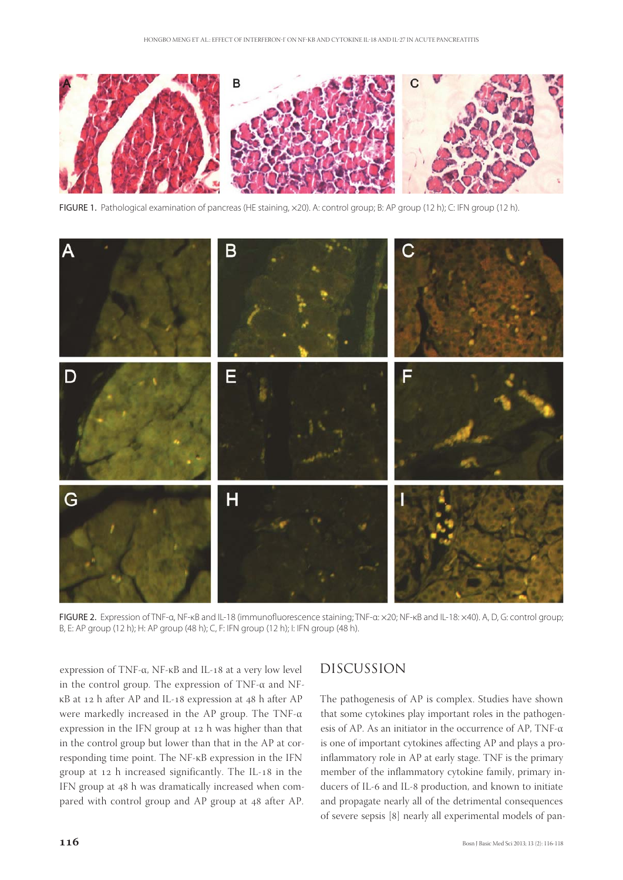

FIGURE 1. Pathological examination of pancreas (HE staining, x20). A: control group; B: AP group (12 h); C: IFN group (12 h).



FIGURE 2. Expression of TNF-α, NF-κB and IL-18 (immunofluorescence staining; TNF-α: ×20; NF-κB and IL-18: ×40). A, D, G: control group; B, E: AP group (12 h); H: AP group (48 h); C, F: IFN group (12 h); I: IFN group (48 h).

expression of TNF-α,  $NF$ -κ $B$  and IL-18 at a very low level in the control group. The expression of TNF-α and NFκB at 12 h after AP and IL-18 expression at 48 h after AP were markedly increased in the AP group. The TNF-α expression in the IFN group at  $12$  h was higher than that in the control group but lower than that in the AP at corresponding time point. The NF-κB expression in the IFN group at 12 h increased significantly. The IL-18 in the IFN group at 48 h was dramatically increased when compared with control group and AP group at 48 after AP.

## DISCUSSION

The pathogenesis of AP is complex. Studies have shown that some cytokines play important roles in the pathogenesis of AP. As an initiator in the occurrence of AP, TNF-α is one of important cytokines affecting AP and plays a proinflammatory role in AP at early stage. TNF is the primary member of the inflammatory cytokine family, primary inducers of IL-6 and IL-8 production, and known to initiate and propagate nearly all of the detrimental consequences of severe sepsis [8] nearly all experimental models of pan-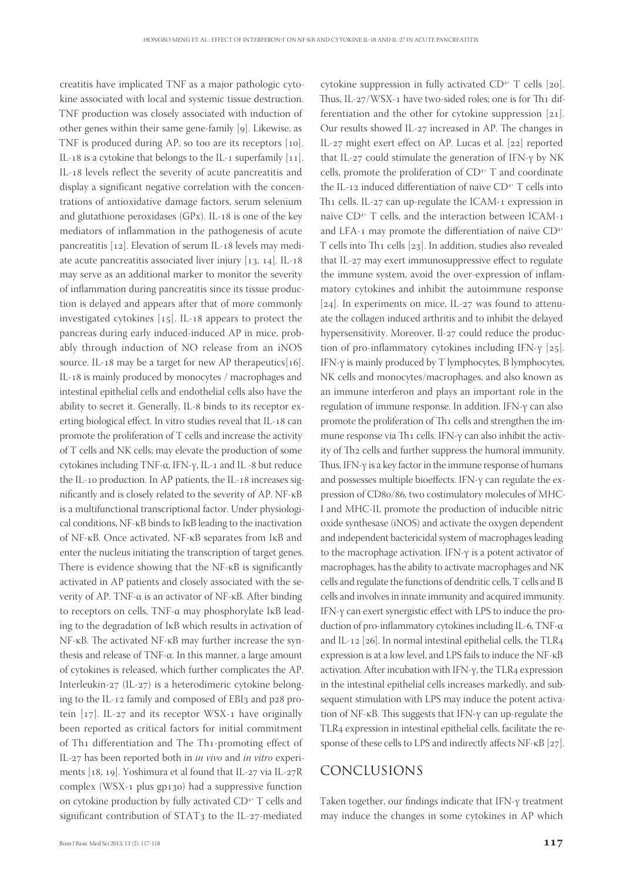creatitis have implicated TNF as a major pathologic cytokine associated with local and systemic tissue destruction. TNF production was closely associated with induction of other genes within their same gene-family  $[g]$ . Likewise, as TNF is produced during AP, so too are its receptors  $[10]$ . IL-18 is a cytokine that belongs to the IL-1 superfamily  $[11]$ . IL-18 levels reflect the severity of acute pancreatitis and display a significant negative correlation with the concentrations of antioxidative damage factors, serum selenium and glutathione peroxidases  $(GPx)$ . IL-18 is one of the key mediators of inflammation in the pathogenesis of acute pancreatitis  $[12]$ . Elevation of serum IL-18 levels may mediate acute pancreatitis associated liver injury  $[13, 14]$ . IL-18 may serve as an additional marker to monitor the severity of inflammation during pancreatitis since its tissue production is delayed and appears after that of more commonly investigated cytokines  $[15]$ . IL-18 appears to protect the pancreas during early induced-induced AP in mice, probably through induction of NO release from an iNOS source. IL-18 may be a target for new AP therapeutics[16]. IL-18 is mainly produced by monocytes / macrophages and intestinal epithelial cells and endothelial cells also have the ability to secret it. Generally, IL-8 binds to its receptor exerting biological effect. In vitro studies reveal that IL-18 can promote the proliferation of T cells and increase the activity of T cells and NK cells; may elevate the production of some cytokines including TNF-α, IFN-γ, IL-1 and IL-8 but reduce the IL-10 production. In AP patients, the IL-18 increases significantly and is closely related to the severity of AP. NF-κB is a multifunctional transcriptional factor. Under physiological conditions, NF-κB binds to IκB leading to the inactivation of NF-κB. Once activated, NF-κB separates from IκB and enter the nucleus initiating the transcription of target genes. There is evidence showing that the NF-κB is significantly activated in AP patients and closely associated with the severity of AP. TNF-α is an activator of NF-κB. After binding to receptors on cells, TNF-α may phosphorylate IκB leading to the degradation of IκB which results in activation of NF-κB. The activated NF-κB may further increase the synthesis and release of TNF-α. In this manner, a large amount of cytokines is released, which further complicates the AP. Interleukin-27 (IL-27) is a heterodimeric cytokine belonging to the IL-12 family and composed of EBI3 and p28 protein  $[17]$ . IL-27 and its receptor WSX-1 have originally been reported as critical factors for initial commitment of Th1 differentiation and The Th1-promoting effect of IL-27 has been reported both in *in vivo* and *in vitro* experiments  $[18, 19]$ . Yoshimura et al found that IL-27 via IL-27R complex (WSX-1 plus  $gp130$ ) had a suppressive function on cytokine production by fully activated CD<sup>4+</sup> T cells and significant contribution of STAT3 to the IL-27-mediated

cytokine suppression in fully activated  $CD^{4+}$  T cells [20]. Thus, IL-27/WSX-1 have two-sided roles; one is for Th1 differentiation and the other for cytokine suppression  $[21]$ . Our results showed IL-27 increased in AP. The changes in IL-27 might exert effect on AP. Lucas et al. [22] reported that IL-27 could stimulate the generation of IFN- $\gamma$  by NK cells, promote the proliferation of  $CD^{4+}$  T and coordinate the IL-12 induced differentiation of naïve  $CD^{4+}$  T cells into Th1 cells. IL-27 can up-regulate the ICAM-1 expression in naïve CD<sup>4+</sup> T cells, and the interaction between ICAM-1 and LFA-1 may promote the differentiation of naïve  $CD^{4+}$ T cells into Th1 cells  $[23]$ . In addition, studies also revealed that IL-27 may exert immunosuppressive effect to regulate the immune system, avoid the over-expression of inflammatory cytokines and inhibit the autoimmune response [ $24$ ]. In experiments on mice, IL- $27$  was found to attenuate the collagen induced arthritis and to inhibit the delayed hypersensitivity. Moreover, Il-27 could reduce the production of pro-inflammatory cytokines including IFN-γ  $[25]$ . IFN-γ is mainly produced by T lymphocytes, B lymphocytes, NK cells and monocytes/macrophages, and also known as an immune interferon and plays an important role in the regulation of immune response. In addition, IFN-γ can also promote the proliferation of Th<sub>1</sub> cells and strengthen the immune response via Th1 cells. IFN-γ can also inhibit the activity of Th2 cells and further suppress the humoral immunity. Thus, IFN- $\gamma$  is a key factor in the immune response of humans and possesses multiple bioeffects. IFN-γ can regulate the expression of CD80/86, two costimulatory molecules of MHC-I and MHC-II, promote the production of inducible nitric oxide synthesase (iNOS) and activate the oxygen dependent and independent bactericidal system of macrophages leading to the macrophage activation. IFN-γ is a potent activator of macrophages, has the ability to activate macrophages and NK cells and regulate the functions of dendritic cells, T cells and B cells and involves in innate immunity and acquired immunity. IFN-γ can exert synergistic effect with LPS to induce the production of pro-inflammatory cytokines including IL-6, TNF- $\alpha$ and IL-12  $[26]$ . In normal intestinal epithelial cells, the TLR4 expression is at a low level, and LPS fails to induce the NF-κB activation. After incubation with IFN-γ, the TLR4 expression in the intestinal epithelial cells increases markedly, and subsequent stimulation with LPS may induce the potent activation of NF-κB. This suggests that IFN-γ can up-regulate the TLR4 expression in intestinal epithelial cells, facilitate the response of these cells to LPS and indirectly affects NF- $\kappa$ B [27].

#### CONCLUSIONS

Taken together, our findings indicate that IFN- $\gamma$  treatment may induce the changes in some cytokines in AP which